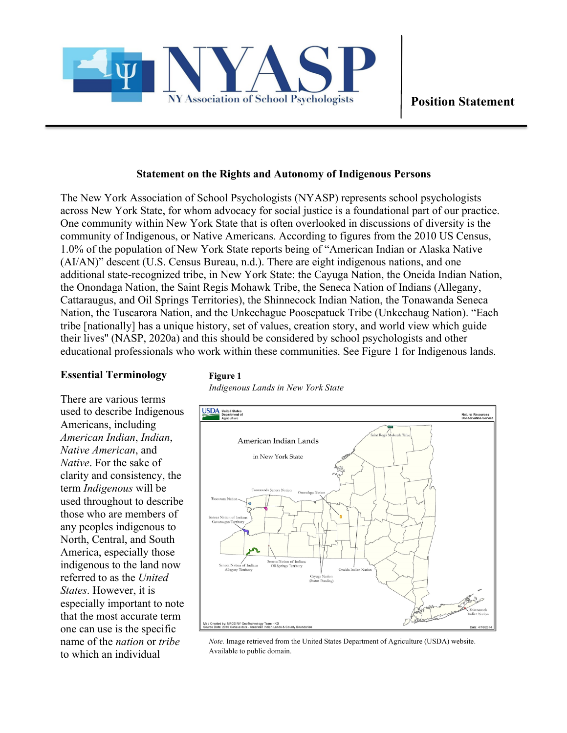

### **Statement on the Rights and Autonomy of Indigenous Persons**

The New York Association of School Psychologists (NYASP) represents school psychologists across New York State, for whom advocacy for social justice is a foundational part of our practice. One community within New York State that is often overlooked in discussions of diversity is the community of Indigenous, or Native Americans. According to figures from the 2010 US Census, 1.0% of the population of New York State reports being of "American Indian or Alaska Native (AI/AN)" descent (U.S. Census Bureau, n.d.). There are eight indigenous nations, and one additional state-recognized tribe, in New York State: the Cayuga Nation, the Oneida Indian Nation, the Onondaga Nation, the Saint Regis Mohawk Tribe, the Seneca Nation of Indians (Allegany, Cattaraugus, and Oil Springs Territories), the Shinnecock Indian Nation, the Tonawanda Seneca Nation, the Tuscarora Nation, and the Unkechague Poosepatuck Tribe (Unkechaug Nation). "Each tribe [nationally] has a unique history, set of values, creation story, and world view which guide their lives'' (NASP, 2020a) and this should be considered by school psychologists and other educational professionals who work within these communities. See Figure 1 for Indigenous lands.

#### **Essential Terminology**

There are various terms used to describe Indigenous Americans, including *American Indian*, *Indian*, *Native American*, and *Native*. For the sake of clarity and consistency, the term *Indigenous* will be used throughout to describe those who are members of any peoples indigenous to North, Central, and South America, especially those indigenous to the land now referred to as the *United States*. However, it is especially important to note that the most accurate term one can use is the specific name of the *nation* or *tribe* to which an individual

# **Figure 1**

*Indigenous Lands in New York State*



*Note.* Image retrieved from the United States Department of Agriculture (USDA) website. Available to public domain.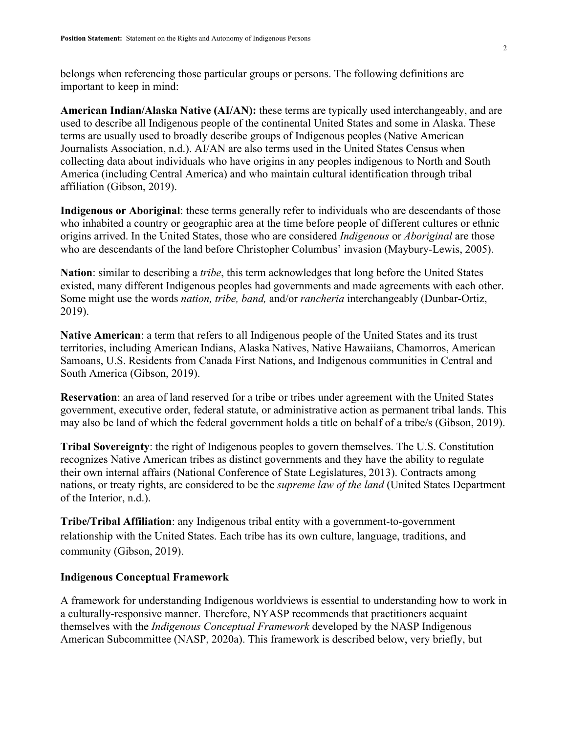belongs when referencing those particular groups or persons. The following definitions are important to keep in mind:

**American Indian/Alaska Native (AI/AN):** these terms are typically used interchangeably, and are used to describe all Indigenous people of the continental United States and some in Alaska. These terms are usually used to broadly describe groups of Indigenous peoples (Native American Journalists Association, n.d.). AI/AN are also terms used in the United States Census when collecting data about individuals who have origins in any peoples indigenous to North and South America (including Central America) and who maintain cultural identification through tribal affiliation (Gibson, 2019).

**Indigenous or Aboriginal**: these terms generally refer to individuals who are descendants of those who inhabited a country or geographic area at the time before people of different cultures or ethnic origins arrived. In the United States, those who are considered *Indigenous* or *Aboriginal* are those who are descendants of the land before Christopher Columbus' invasion (Maybury-Lewis, 2005).

**Nation**: similar to describing a *tribe*, this term acknowledges that long before the United States existed, many different Indigenous peoples had governments and made agreements with each other. Some might use the words *nation, tribe, band,* and/or *rancheria* interchangeably (Dunbar-Ortiz, 2019).

**Native American**: a term that refers to all Indigenous people of the United States and its trust territories, including American Indians, Alaska Natives, Native Hawaiians, Chamorros, American Samoans, U.S. Residents from Canada First Nations, and Indigenous communities in Central and South America (Gibson, 2019).

**Reservation**: an area of land reserved for a tribe or tribes under agreement with the United States government, executive order, federal statute, or administrative action as permanent tribal lands. This may also be land of which the federal government holds a title on behalf of a tribe/s (Gibson, 2019).

**Tribal Sovereignty**: the right of Indigenous peoples to govern themselves. The U.S. Constitution recognizes Native American tribes as distinct governments and they have the ability to regulate their own internal affairs (National Conference of State Legislatures, 2013). Contracts among nations, or treaty rights, are considered to be the *supreme law of the land* (United States Department of the Interior, n.d.).

**Tribe/Tribal Affiliation**: any Indigenous tribal entity with a government-to-government relationship with the United States. Each tribe has its own culture, language, traditions, and community (Gibson, 2019).

## **Indigenous Conceptual Framework**

A framework for understanding Indigenous worldviews is essential to understanding how to work in a culturally-responsive manner. Therefore, NYASP recommends that practitioners acquaint themselves with the *Indigenous Conceptual Framework* developed by the NASP Indigenous American Subcommittee (NASP, 2020a). This framework is described below, very briefly, but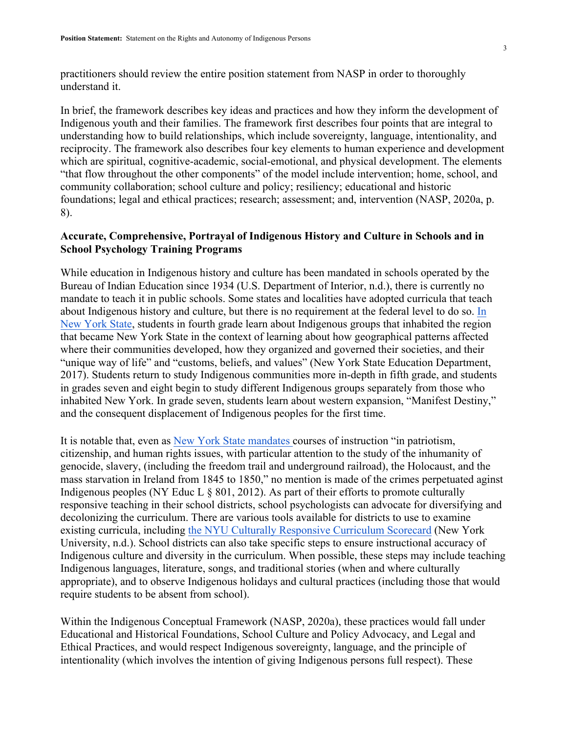practitioners should review the entire position statement from NASP in order to thoroughly understand it.

In brief, the framework describes key ideas and practices and how they inform the development of Indigenous youth and their families. The framework first describes four points that are integral to understanding how to build relationships, which include sovereignty, language, intentionality, and reciprocity. The framework also describes four key elements to human experience and development which are spiritual, cognitive-academic, social-emotional, and physical development. The elements "that flow throughout the other components" of the model include intervention; home, school, and community collaboration; school culture and policy; resiliency; educational and historic foundations; legal and ethical practices; research; assessment; and, intervention (NASP, 2020a, p. 8).

# **Accurate, Comprehensive, Portrayal of Indigenous History and Culture in Schools and in School Psychology Training Programs**

While education in Indigenous history and culture has been mandated in schools operated by the Bureau of Indian Education since 1934 (U.S. Department of Interior, n.d.), there is currently no mandate to teach it in public schools. Some states and localities have adopted curricula that teach about Indigenous history and culture, but there is no requirement at the federal level to do so. In New York State, students in fourth grade learn about Indigenous groups that inhabited the region that became New York State in the context of learning about how geographical patterns affected where their communities developed, how they organized and governed their societies, and their "unique way of life" and "customs, beliefs, and values" (New York State Education Department, 2017). Students return to study Indigenous communities more in-depth in fifth grade, and students in grades seven and eight begin to study different Indigenous groups separately from those who inhabited New York. In grade seven, students learn about western expansion, "Manifest Destiny," and the consequent displacement of Indigenous peoples for the first time.

It is notable that, even as New York State mandates courses of instruction "in patriotism, citizenship, and human rights issues, with particular attention to the study of the inhumanity of genocide, slavery, (including the freedom trail and underground railroad), the Holocaust, and the mass starvation in Ireland from 1845 to 1850," no mention is made of the crimes perpetuated aginst Indigenous peoples (NY Educ L § 801, 2012). As part of their efforts to promote culturally responsive teaching in their school districts, school psychologists can advocate for diversifying and decolonizing the curriculum. There are various tools available for districts to use to examine existing curricula, including the NYU Culturally Responsive Curriculum Scorecard (New York University, n.d.). School districts can also take specific steps to ensure instructional accuracy of Indigenous culture and diversity in the curriculum. When possible, these steps may include teaching Indigenous languages, literature, songs, and traditional stories (when and where culturally appropriate), and to observe Indigenous holidays and cultural practices (including those that would require students to be absent from school).

Within the Indigenous Conceptual Framework (NASP, 2020a), these practices would fall under Educational and Historical Foundations, School Culture and Policy Advocacy, and Legal and Ethical Practices, and would respect Indigenous sovereignty, language, and the principle of intentionality (which involves the intention of giving Indigenous persons full respect). These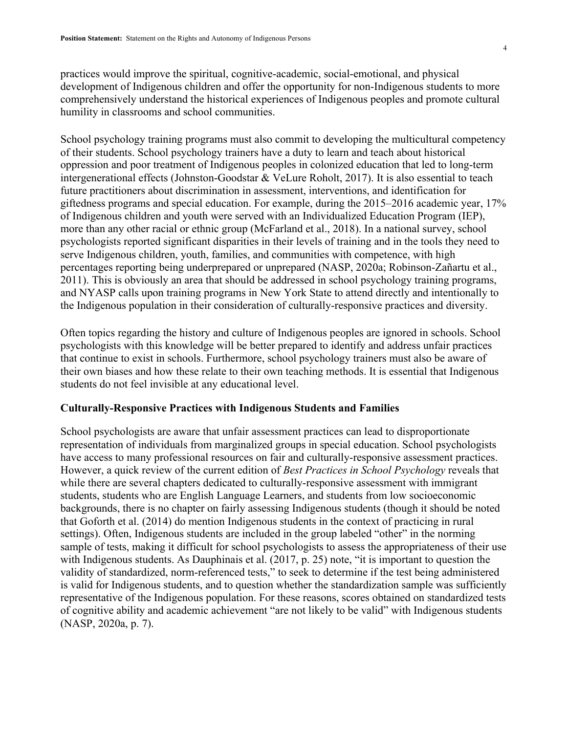practices would improve the spiritual, cognitive-academic, social-emotional, and physical development of Indigenous children and offer the opportunity for non-Indigenous students to more comprehensively understand the historical experiences of Indigenous peoples and promote cultural humility in classrooms and school communities.

School psychology training programs must also commit to developing the multicultural competency of their students. School psychology trainers have a duty to learn and teach about historical oppression and poor treatment of Indigenous peoples in colonized education that led to long-term intergenerational effects (Johnston-Goodstar & VeLure Roholt, 2017). It is also essential to teach future practitioners about discrimination in assessment, interventions, and identification for giftedness programs and special education. For example, during the 2015–2016 academic year, 17% of Indigenous children and youth were served with an Individualized Education Program (IEP), more than any other racial or ethnic group (McFarland et al., 2018). In a national survey, school psychologists reported significant disparities in their levels of training and in the tools they need to serve Indigenous children, youth, families, and communities with competence, with high percentages reporting being underprepared or unprepared (NASP, 2020a; Robinson-Zañartu et al., 2011). This is obviously an area that should be addressed in school psychology training programs, and NYASP calls upon training programs in New York State to attend directly and intentionally to the Indigenous population in their consideration of culturally-responsive practices and diversity.

Often topics regarding the history and culture of Indigenous peoples are ignored in schools. School psychologists with this knowledge will be better prepared to identify and address unfair practices that continue to exist in schools. Furthermore, school psychology trainers must also be aware of their own biases and how these relate to their own teaching methods. It is essential that Indigenous students do not feel invisible at any educational level.

#### **Culturally-Responsive Practices with Indigenous Students and Families**

School psychologists are aware that unfair assessment practices can lead to disproportionate representation of individuals from marginalized groups in special education. School psychologists have access to many professional resources on fair and culturally-responsive assessment practices. However, a quick review of the current edition of *Best Practices in School Psychology* reveals that while there are several chapters dedicated to culturally-responsive assessment with immigrant students, students who are English Language Learners, and students from low socioeconomic backgrounds, there is no chapter on fairly assessing Indigenous students (though it should be noted that Goforth et al. (2014) do mention Indigenous students in the context of practicing in rural settings). Often, Indigenous students are included in the group labeled "other" in the norming sample of tests, making it difficult for school psychologists to assess the appropriateness of their use with Indigenous students. As Dauphinais et al. (2017, p. 25) note, "it is important to question the validity of standardized, norm-referenced tests," to seek to determine if the test being administered is valid for Indigenous students, and to question whether the standardization sample was sufficiently representative of the Indigenous population. For these reasons, scores obtained on standardized tests of cognitive ability and academic achievement "are not likely to be valid" with Indigenous students (NASP, 2020a, p. 7).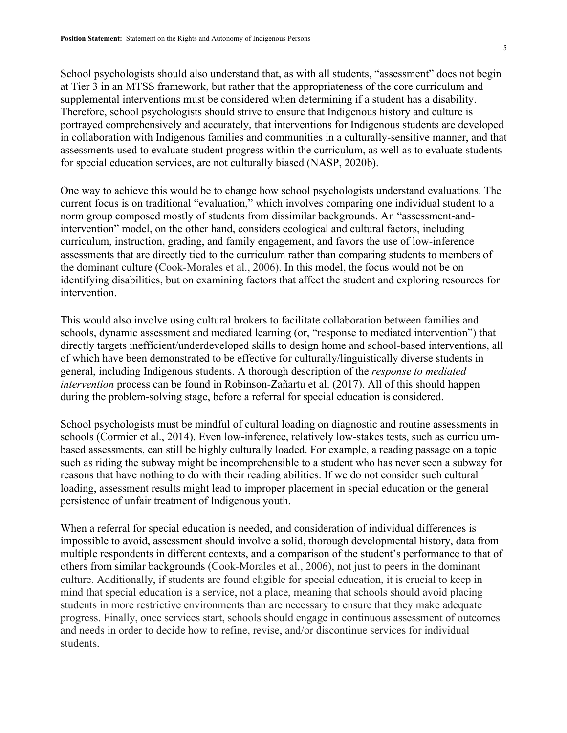School psychologists should also understand that, as with all students, "assessment" does not begin at Tier 3 in an MTSS framework, but rather that the appropriateness of the core curriculum and supplemental interventions must be considered when determining if a student has a disability. Therefore, school psychologists should strive to ensure that Indigenous history and culture is portrayed comprehensively and accurately, that interventions for Indigenous students are developed in collaboration with Indigenous families and communities in a culturally-sensitive manner, and that assessments used to evaluate student progress within the curriculum, as well as to evaluate students for special education services, are not culturally biased (NASP, 2020b).

One way to achieve this would be to change how school psychologists understand evaluations. The current focus is on traditional "evaluation," which involves comparing one individual student to a norm group composed mostly of students from dissimilar backgrounds. An "assessment-andintervention" model, on the other hand, considers ecological and cultural factors, including curriculum, instruction, grading, and family engagement, and favors the use of low-inference assessments that are directly tied to the curriculum rather than comparing students to members of the dominant culture (Cook-Morales et al., 2006). In this model, the focus would not be on identifying disabilities, but on examining factors that affect the student and exploring resources for intervention.

This would also involve using cultural brokers to facilitate collaboration between families and schools, dynamic assessment and mediated learning (or, "response to mediated intervention") that directly targets inefficient/underdeveloped skills to design home and school-based interventions, all of which have been demonstrated to be effective for culturally/linguistically diverse students in general, including Indigenous students. A thorough description of the *response to mediated intervention* process can be found in Robinson-Zañartu et al. (2017). All of this should happen during the problem-solving stage, before a referral for special education is considered.

School psychologists must be mindful of cultural loading on diagnostic and routine assessments in schools (Cormier et al., 2014). Even low-inference, relatively low-stakes tests, such as curriculumbased assessments, can still be highly culturally loaded. For example, a reading passage on a topic such as riding the subway might be incomprehensible to a student who has never seen a subway for reasons that have nothing to do with their reading abilities. If we do not consider such cultural loading, assessment results might lead to improper placement in special education or the general persistence of unfair treatment of Indigenous youth.

When a referral for special education is needed, and consideration of individual differences is impossible to avoid, assessment should involve a solid, thorough developmental history, data from multiple respondents in different contexts, and a comparison of the student's performance to that of others from similar backgrounds (Cook-Morales et al., 2006), not just to peers in the dominant culture. Additionally, if students are found eligible for special education, it is crucial to keep in mind that special education is a service, not a place, meaning that schools should avoid placing students in more restrictive environments than are necessary to ensure that they make adequate progress. Finally, once services start, schools should engage in continuous assessment of outcomes and needs in order to decide how to refine, revise, and/or discontinue services for individual students.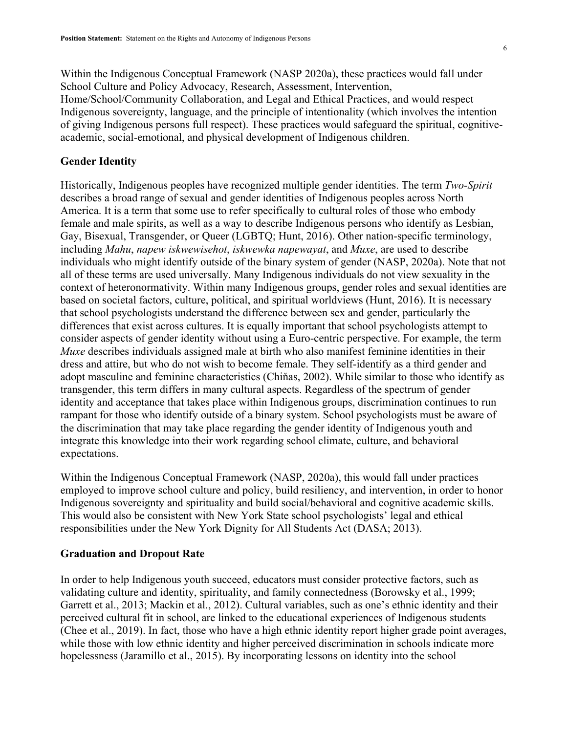Within the Indigenous Conceptual Framework (NASP 2020a), these practices would fall under School Culture and Policy Advocacy, Research, Assessment, Intervention, Home/School/Community Collaboration, and Legal and Ethical Practices, and would respect Indigenous sovereignty, language, and the principle of intentionality (which involves the intention of giving Indigenous persons full respect). These practices would safeguard the spiritual, cognitiveacademic, social-emotional, and physical development of Indigenous children.

#### **Gender Identity**

Historically, Indigenous peoples have recognized multiple gender identities. The term *Two-Spirit* describes a broad range of sexual and gender identities of Indigenous peoples across North America. It is a term that some use to refer specifically to cultural roles of those who embody female and male spirits, as well as a way to describe Indigenous persons who identify as Lesbian, Gay, Bisexual, Transgender, or Queer (LGBTQ; Hunt, 2016). Other nation-specific terminology, including *Mahu*, *napew iskwewisehot*, *iskwewka napewayat*, and *Muxe*, are used to describe individuals who might identify outside of the binary system of gender (NASP, 2020a). Note that not all of these terms are used universally. Many Indigenous individuals do not view sexuality in the context of heteronormativity. Within many Indigenous groups, gender roles and sexual identities are based on societal factors, culture, political, and spiritual worldviews (Hunt, 2016). It is necessary that school psychologists understand the difference between sex and gender, particularly the differences that exist across cultures. It is equally important that school psychologists attempt to consider aspects of gender identity without using a Euro-centric perspective. For example, the term *Muxe* describes individuals assigned male at birth who also manifest feminine identities in their dress and attire, but who do not wish to become female. They self-identify as a third gender and adopt masculine and feminine characteristics (Chiňas, 2002). While similar to those who identify as transgender, this term differs in many cultural aspects. Regardless of the spectrum of gender identity and acceptance that takes place within Indigenous groups, discrimination continues to run rampant for those who identify outside of a binary system. School psychologists must be aware of the discrimination that may take place regarding the gender identity of Indigenous youth and integrate this knowledge into their work regarding school climate, culture, and behavioral expectations.

Within the Indigenous Conceptual Framework (NASP, 2020a), this would fall under practices employed to improve school culture and policy, build resiliency, and intervention, in order to honor Indigenous sovereignty and spirituality and build social/behavioral and cognitive academic skills. This would also be consistent with New York State school psychologists' legal and ethical responsibilities under the New York Dignity for All Students Act (DASA; 2013).

#### **Graduation and Dropout Rate**

In order to help Indigenous youth succeed, educators must consider protective factors, such as validating culture and identity, spirituality, and family connectedness (Borowsky et al., 1999; Garrett et al., 2013; Mackin et al., 2012). Cultural variables, such as one's ethnic identity and their perceived cultural fit in school, are linked to the educational experiences of Indigenous students (Chee et al., 2019). In fact, those who have a high ethnic identity report higher grade point averages, while those with low ethnic identity and higher perceived discrimination in schools indicate more hopelessness (Jaramillo et al., 2015). By incorporating lessons on identity into the school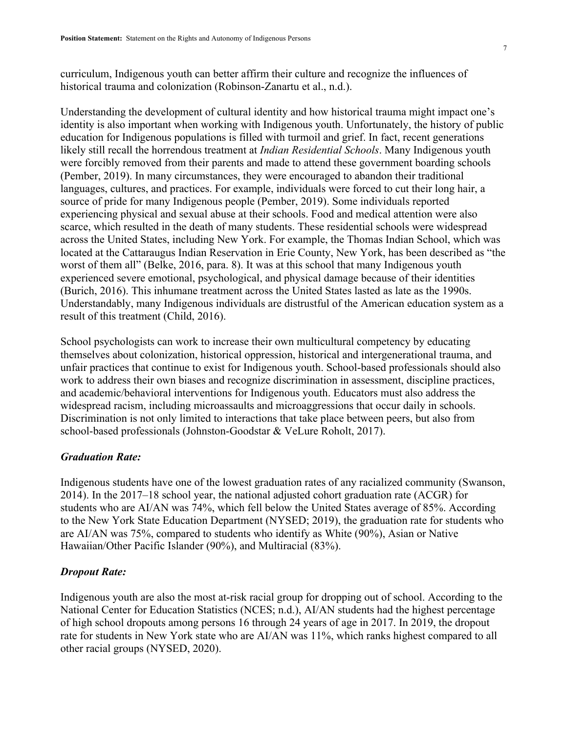curriculum, Indigenous youth can better affirm their culture and recognize the influences of historical trauma and colonization (Robinson-Zanartu et al., n.d.).

Understanding the development of cultural identity and how historical trauma might impact one's identity is also important when working with Indigenous youth. Unfortunately, the history of public education for Indigenous populations is filled with turmoil and grief. In fact, recent generations likely still recall the horrendous treatment at *Indian Residential Schools*. Many Indigenous youth were forcibly removed from their parents and made to attend these government boarding schools (Pember, 2019). In many circumstances, they were encouraged to abandon their traditional languages, cultures, and practices. For example, individuals were forced to cut their long hair, a source of pride for many Indigenous people (Pember, 2019). Some individuals reported experiencing physical and sexual abuse at their schools. Food and medical attention were also scarce, which resulted in the death of many students. These residential schools were widespread across the United States, including New York. For example, the Thomas Indian School, which was located at the Cattaraugus Indian Reservation in Erie County, New York, has been described as "the worst of them all" (Belke, 2016, para. 8). It was at this school that many Indigenous youth experienced severe emotional, psychological, and physical damage because of their identities (Burich, 2016). This inhumane treatment across the United States lasted as late as the 1990s. Understandably, many Indigenous individuals are distrustful of the American education system as a result of this treatment (Child, 2016).

School psychologists can work to increase their own multicultural competency by educating themselves about colonization, historical oppression, historical and intergenerational trauma, and unfair practices that continue to exist for Indigenous youth. School-based professionals should also work to address their own biases and recognize discrimination in assessment, discipline practices, and academic/behavioral interventions for Indigenous youth. Educators must also address the widespread racism, including microassaults and microaggressions that occur daily in schools. Discrimination is not only limited to interactions that take place between peers, but also from school-based professionals (Johnston-Goodstar & VeLure Roholt, 2017).

#### *Graduation Rate:*

Indigenous students have one of the lowest graduation rates of any racialized community (Swanson, 2014). In the 2017–18 school year, the national adjusted cohort graduation rate (ACGR) for students who are AI/AN was 74%, which fell below the United States average of 85%. According to the New York State Education Department (NYSED; 2019), the graduation rate for students who are AI/AN was 75%, compared to students who identify as White (90%), Asian or Native Hawaiian/Other Pacific Islander (90%), and Multiracial (83%).

#### *Dropout Rate:*

Indigenous youth are also the most at-risk racial group for dropping out of school. According to the National Center for Education Statistics (NCES; n.d.), AI/AN students had the highest percentage of high school dropouts among persons 16 through 24 years of age in 2017. In 2019, the dropout rate for students in New York state who are AI/AN was 11%, which ranks highest compared to all other racial groups (NYSED, 2020).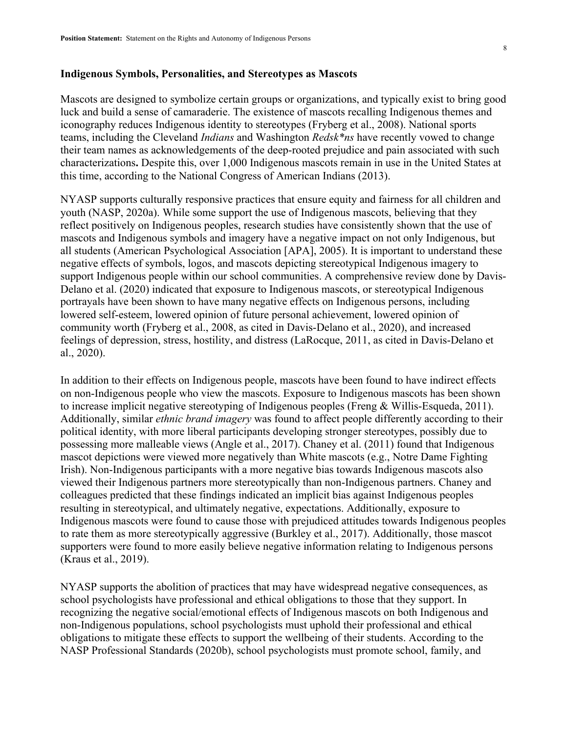#### **Indigenous Symbols, Personalities, and Stereotypes as Mascots**

Mascots are designed to symbolize certain groups or organizations, and typically exist to bring good luck and build a sense of camaraderie. The existence of mascots recalling Indigenous themes and iconography reduces Indigenous identity to stereotypes (Fryberg et al., 2008). National sports teams, including the Cleveland *Indians* and Washington *Redsk\*ns* have recently vowed to change their team names as acknowledgements of the deep-rooted prejudice and pain associated with such characterizations**.** Despite this, over 1,000 Indigenous mascots remain in use in the United States at this time, according to the National Congress of American Indians (2013).

NYASP supports culturally responsive practices that ensure equity and fairness for all children and youth (NASP, 2020a). While some support the use of Indigenous mascots, believing that they reflect positively on Indigenous peoples, research studies have consistently shown that the use of mascots and Indigenous symbols and imagery have a negative impact on not only Indigenous, but all students (American Psychological Association [APA], 2005). It is important to understand these negative effects of symbols, logos, and mascots depicting stereotypical Indigenous imagery to support Indigenous people within our school communities. A comprehensive review done by Davis-Delano et al. (2020) indicated that exposure to Indigenous mascots, or stereotypical Indigenous portrayals have been shown to have many negative effects on Indigenous persons, including lowered self-esteem, lowered opinion of future personal achievement, lowered opinion of community worth (Fryberg et al., 2008, as cited in Davis-Delano et al., 2020), and increased feelings of depression, stress, hostility, and distress (LaRocque, 2011, as cited in Davis-Delano et al., 2020).

In addition to their effects on Indigenous people, mascots have been found to have indirect effects on non-Indigenous people who view the mascots. Exposure to Indigenous mascots has been shown to increase implicit negative stereotyping of Indigenous peoples (Freng & Willis-Esqueda, 2011). Additionally, similar *ethnic brand imagery* was found to affect people differently according to their political identity, with more liberal participants developing stronger stereotypes, possibly due to possessing more malleable views (Angle et al., 2017). Chaney et al. (2011) found that Indigenous mascot depictions were viewed more negatively than White mascots (e.g., Notre Dame Fighting Irish). Non-Indigenous participants with a more negative bias towards Indigenous mascots also viewed their Indigenous partners more stereotypically than non-Indigenous partners. Chaney and colleagues predicted that these findings indicated an implicit bias against Indigenous peoples resulting in stereotypical, and ultimately negative, expectations. Additionally, exposure to Indigenous mascots were found to cause those with prejudiced attitudes towards Indigenous peoples to rate them as more stereotypically aggressive (Burkley et al., 2017). Additionally, those mascot supporters were found to more easily believe negative information relating to Indigenous persons (Kraus et al., 2019).

NYASP supports the abolition of practices that may have widespread negative consequences, as school psychologists have professional and ethical obligations to those that they support. In recognizing the negative social/emotional effects of Indigenous mascots on both Indigenous and non-Indigenous populations, school psychologists must uphold their professional and ethical obligations to mitigate these effects to support the wellbeing of their students. According to the NASP Professional Standards (2020b), school psychologists must promote school, family, and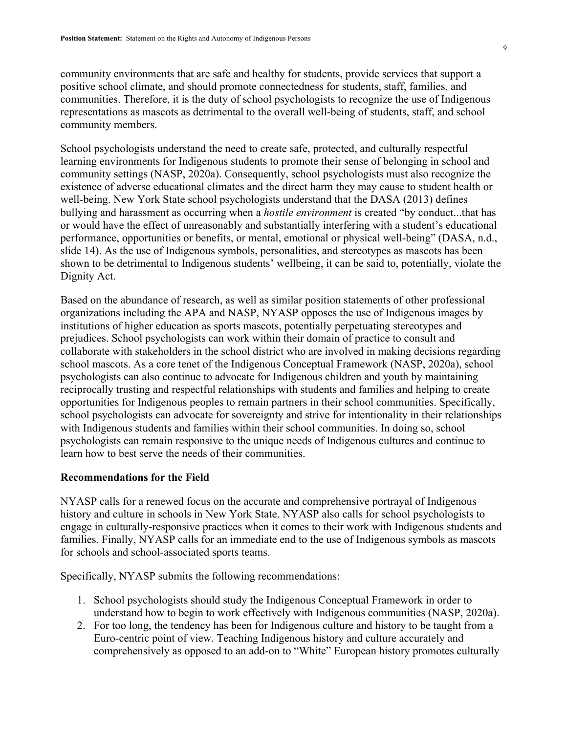community environments that are safe and healthy for students, provide services that support a positive school climate, and should promote connectedness for students, staff, families, and communities. Therefore, it is the duty of school psychologists to recognize the use of Indigenous representations as mascots as detrimental to the overall well-being of students, staff, and school community members.

School psychologists understand the need to create safe, protected, and culturally respectful learning environments for Indigenous students to promote their sense of belonging in school and community settings (NASP, 2020a). Consequently, school psychologists must also recognize the existence of adverse educational climates and the direct harm they may cause to student health or well-being. New York State school psychologists understand that the DASA (2013) defines bullying and harassment as occurring when a *hostile environment* is created "by conduct...that has or would have the effect of unreasonably and substantially interfering with a student's educational performance, opportunities or benefits, or mental, emotional or physical well-being" (DASA, n.d., slide 14). As the use of Indigenous symbols, personalities, and stereotypes as mascots has been shown to be detrimental to Indigenous students' wellbeing, it can be said to, potentially, violate the Dignity Act.

Based on the abundance of research, as well as similar position statements of other professional organizations including the APA and NASP, NYASP opposes the use of Indigenous images by institutions of higher education as sports mascots, potentially perpetuating stereotypes and prejudices. School psychologists can work within their domain of practice to consult and collaborate with stakeholders in the school district who are involved in making decisions regarding school mascots. As a core tenet of the Indigenous Conceptual Framework (NASP, 2020a), school psychologists can also continue to advocate for Indigenous children and youth by maintaining reciprocally trusting and respectful relationships with students and families and helping to create opportunities for Indigenous peoples to remain partners in their school communities. Specifically, school psychologists can advocate for sovereignty and strive for intentionality in their relationships with Indigenous students and families within their school communities. In doing so, school psychologists can remain responsive to the unique needs of Indigenous cultures and continue to learn how to best serve the needs of their communities.

#### **Recommendations for the Field**

NYASP calls for a renewed focus on the accurate and comprehensive portrayal of Indigenous history and culture in schools in New York State. NYASP also calls for school psychologists to engage in culturally-responsive practices when it comes to their work with Indigenous students and families. Finally, NYASP calls for an immediate end to the use of Indigenous symbols as mascots for schools and school-associated sports teams.

Specifically, NYASP submits the following recommendations:

- 1. School psychologists should study the Indigenous Conceptual Framework in order to understand how to begin to work effectively with Indigenous communities (NASP, 2020a).
- 2. For too long, the tendency has been for Indigenous culture and history to be taught from a Euro-centric point of view. Teaching Indigenous history and culture accurately and comprehensively as opposed to an add-on to "White" European history promotes culturally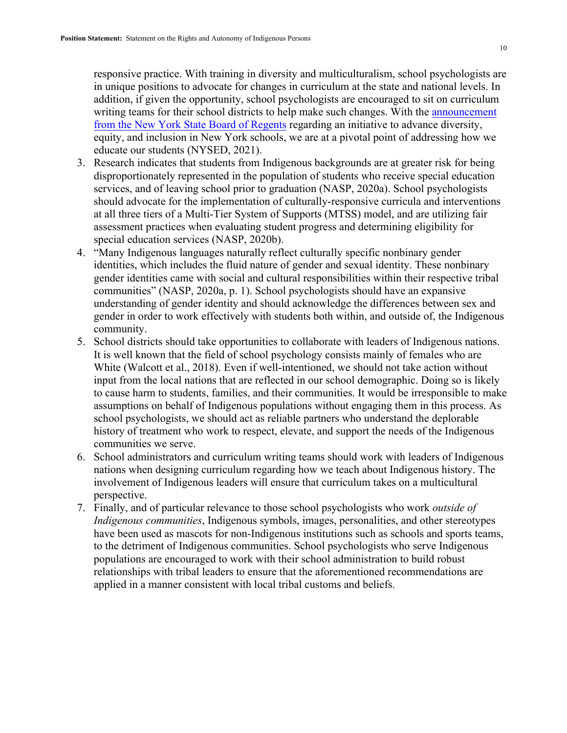responsive practice. With training in diversity and multiculturalism, school psychologists are in unique positions to advocate for changes in curriculum at the state and national levels. In addition, if given the opportunity, school psychologists are encouraged to sit on curriculum writing teams for their school districts to help make such changes. With the announcement from the New York State Board of Regents regarding an initiative to advance diversity, equity, and inclusion in New York schools, we are at a pivotal point of addressing how we educate our students (NYSED, 2021).

- 3. Research indicates that students from Indigenous backgrounds are at greater risk for being disproportionately represented in the population of students who receive special education services, and of leaving school prior to graduation (NASP, 2020a). School psychologists should advocate for the implementation of culturally-responsive curricula and interventions at all three tiers of a Multi-Tier System of Supports (MTSS) model, and are utilizing fair assessment practices when evaluating student progress and determining eligibility for special education services (NASP, 2020b).
- 4. "Many Indigenous languages naturally reflect culturally specific nonbinary gender identities, which includes the fluid nature of gender and sexual identity. These nonbinary gender identities came with social and cultural responsibilities within their respective tribal communities" (NASP, 2020a, p. 1). School psychologists should have an expansive understanding of gender identity and should acknowledge the differences between sex and gender in order to work effectively with students both within, and outside of, the Indigenous community.
- 5. School districts should take opportunities to collaborate with leaders of Indigenous nations. It is well known that the field of school psychology consists mainly of females who are White (Walcott et al., 2018). Even if well-intentioned, we should not take action without input from the local nations that are reflected in our school demographic. Doing so is likely to cause harm to students, families, and their communities. It would be irresponsible to make assumptions on behalf of Indigenous populations without engaging them in this process. As school psychologists, we should act as reliable partners who understand the deplorable history of treatment who work to respect, elevate, and support the needs of the Indigenous communities we serve.
- 6. School administrators and curriculum writing teams should work with leaders of Indigenous nations when designing curriculum regarding how we teach about Indigenous history. The involvement of Indigenous leaders will ensure that curriculum takes on a multicultural perspective.
- 7. Finally, and of particular relevance to those school psychologists who work *outside of Indigenous communities*, Indigenous symbols, images, personalities, and other stereotypes have been used as mascots for non-Indigenous institutions such as schools and sports teams, to the detriment of Indigenous communities. School psychologists who serve Indigenous populations are encouraged to work with their school administration to build robust relationships with tribal leaders to ensure that the aforementioned recommendations are applied in a manner consistent with local tribal customs and beliefs.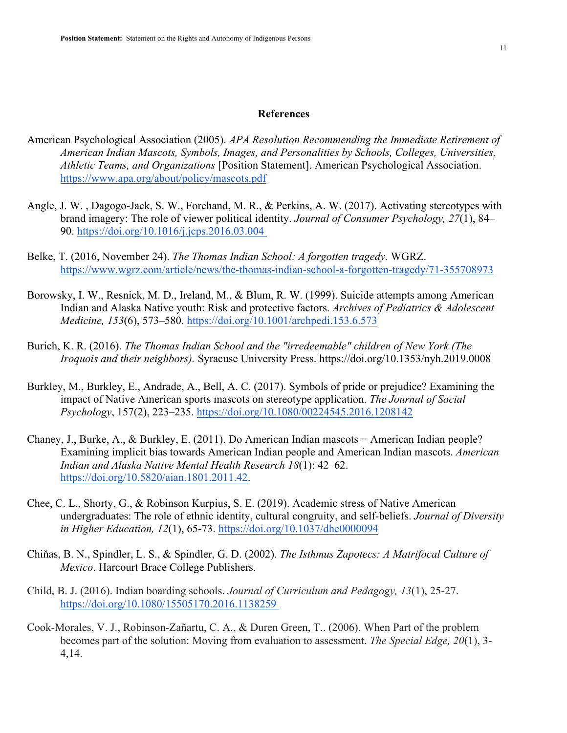#### **References**

- American Psychological Association (2005). *APA Resolution Recommending the Immediate Retirement of American Indian Mascots, Symbols, Images, and Personalities by Schools, Colleges, Universities, Athletic Teams, and Organizations* [Position Statement]. American Psychological Association. https://www.apa.org/about/policy/mascots.pdf
- Angle, J. W. , Dagogo-Jack, S. W., Forehand, M. R., & Perkins, A. W. (2017). Activating stereotypes with brand imagery: The role of viewer political identity. *Journal of Consumer Psychology, 27*(1), 84– 90. https://doi.org/10.1016/j.jcps.2016.03.004
- Belke, T. (2016, November 24). *The Thomas Indian School: A forgotten tragedy.* WGRZ. https://www.wgrz.com/article/news/the-thomas-indian-school-a-forgotten-tragedy/71-355708973
- Borowsky, I. W., Resnick, M. D., Ireland, M., & Blum, R. W. (1999). Suicide attempts among American Indian and Alaska Native youth: Risk and protective factors. *Archives of Pediatrics & Adolescent Medicine, 153*(6), 573–580. https://doi.org/10.1001/archpedi.153.6.573
- Burich, K. R. (2016). *The Thomas Indian School and the "irredeemable" children of New York (The Iroquois and their neighbors).* Syracuse University Press. https://doi.org/10.1353/nyh.2019.0008
- Burkley, M., Burkley, E., Andrade, A., Bell, A. C. (2017). Symbols of pride or prejudice? Examining the impact of Native American sports mascots on stereotype application. *The Journal of Social Psychology*, 157(2), 223–235. https://doi.org/10.1080/00224545.2016.1208142
- Chaney, J., Burke, A., & Burkley, E. (2011). Do American Indian mascots = American Indian people? Examining implicit bias towards American Indian people and American Indian mascots. *American Indian and Alaska Native Mental Health Research 18*(1): 42–62. https://doi.org/10.5820/aian.1801.2011.42.
- Chee, C. L., Shorty, G., & Robinson Kurpius, S. E. (2019). Academic stress of Native American undergraduates: The role of ethnic identity, cultural congruity, and self-beliefs. *Journal of Diversity in Higher Education, 12*(1), 65-73. https://doi.org/10.1037/dhe0000094
- Chiňas, B. N., Spindler, L. S., & Spindler, G. D. (2002). *The Isthmus Zapotecs: A Matrifocal Culture of Mexico*. Harcourt Brace College Publishers.
- Child, B. J. (2016). Indian boarding schools. *Journal of Curriculum and Pedagogy, 13*(1), 25-27. https://doi.org/10.1080/15505170.2016.1138259
- Cook-Morales, V. J., Robinson-Zañartu, C. A., & Duren Green, T.. (2006). When Part of the problem becomes part of the solution: Moving from evaluation to assessment. *The Special Edge, 20*(1), 3- 4,14.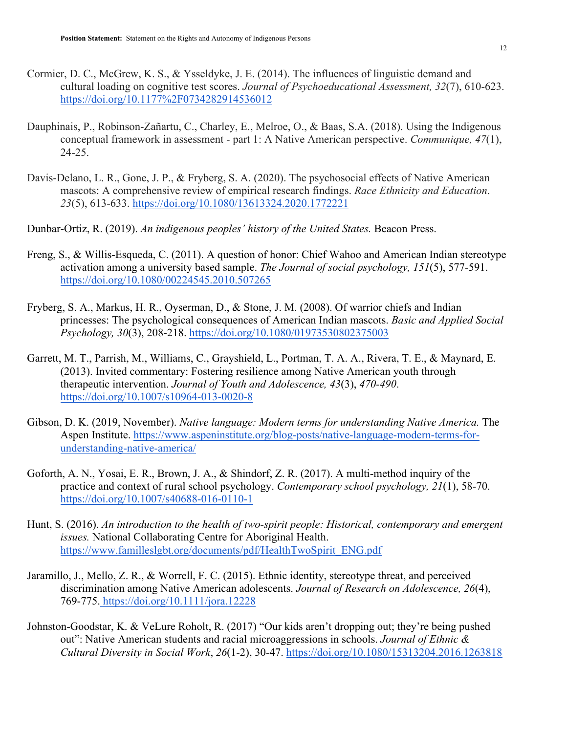- Cormier, D. C., McGrew, K. S., & Ysseldyke, J. E. (2014). The influences of linguistic demand and cultural loading on cognitive test scores. *Journal of Psychoeducational Assessment, 32*(7), 610-623. https://doi.org/10.1177%2F0734282914536012
- Dauphinais, P., Robinson-Zañartu, C., Charley, E., Melroe, O., & Baas, S.A. (2018). Using the Indigenous conceptual framework in assessment - part 1: A Native American perspective. *Communique, 47*(1), 24-25.
- Davis-Delano, L. R., Gone, J. P., & Fryberg, S. A. (2020). The psychosocial effects of Native American mascots: A comprehensive review of empirical research findings. *Race Ethnicity and Education*. *23*(5), 613-633. https://doi.org/10.1080/13613324.2020.1772221
- Dunbar-Ortiz, R. (2019). *An indigenous peoples' history of the United States.* Beacon Press.
- Freng, S., & Willis-Esqueda, C. (2011). A question of honor: Chief Wahoo and American Indian stereotype activation among a university based sample. *The Journal of social psychology, 151*(5), 577-591. https://doi.org/10.1080/00224545.2010.507265
- Fryberg, S. A., Markus, H. R., Oyserman, D., & Stone, J. M. (2008). Of warrior chiefs and Indian princesses: The psychological consequences of American Indian mascots. *Basic and Applied Social Psychology, 30*(3), 208-218. https://doi.org/10.1080/01973530802375003
- Garrett, M. T., Parrish, M., Williams, C., Grayshield, L., Portman, T. A. A., Rivera, T. E., & Maynard, E. (2013). Invited commentary: Fostering resilience among Native American youth through therapeutic intervention. *Journal of Youth and Adolescence, 43*(3), *470-490*. https://doi.org/10.1007/s10964-013-0020-8
- Gibson, D. K. (2019, November). *Native language: Modern terms for understanding Native America.* The Aspen Institute. https://www.aspeninstitute.org/blog-posts/native-language-modern-terms-forunderstanding-native-america/
- Goforth, A. N., Yosai, E. R., Brown, J. A., & Shindorf, Z. R. (2017). A multi-method inquiry of the practice and context of rural school psychology. *Contemporary school psychology, 21*(1), 58-70. https://doi.org/10.1007/s40688-016-0110-1
- Hunt, S. (2016). *An introduction to the health of two-spirit people: Historical, contemporary and emergent issues.* National Collaborating Centre for Aboriginal Health. https://www.familleslgbt.org/documents/pdf/HealthTwoSpirit\_ENG.pdf
- Jaramillo, J., Mello, Z. R., & Worrell, F. C. (2015). Ethnic identity, stereotype threat, and perceived discrimination among Native American adolescents. *Journal of Research on Adolescence, 26*(4), 769-775. https://doi.org/10.1111/jora.12228
- Johnston-Goodstar, K. & VeLure Roholt, R. (2017) "Our kids aren't dropping out; they're being pushed out": Native American students and racial microaggressions in schools. *Journal of Ethnic & Cultural Diversity in Social Work*, *26*(1-2), 30-47. https://doi.org/10.1080/15313204.2016.1263818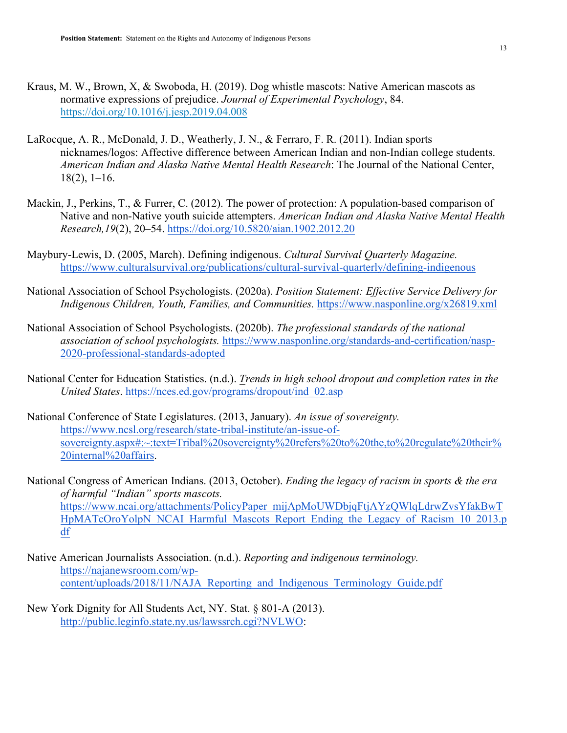- Kraus, M. W., Brown, X, & Swoboda, H. (2019). Dog whistle mascots: Native American mascots as normative expressions of prejudice. *Journal of Experimental Psychology*, 84. https://doi.org/10.1016/j.jesp.2019.04.008
- LaRocque, A. R., McDonald, J. D., Weatherly, J. N., & Ferraro, F. R. (2011). Indian sports nicknames/logos: Affective difference between American Indian and non-Indian college students. *American Indian and Alaska Native Mental Health Research*: The Journal of the National Center,  $18(2)$ ,  $1-16$ .
- Mackin, J., Perkins, T., & Furrer, C. (2012). The power of protection: A population-based comparison of Native and non-Native youth suicide attempters. *American Indian and Alaska Native Mental Health Research,19*(2), 20–54. https://doi.org/10.5820/aian.1902.2012.20
- Maybury-Lewis, D. (2005, March). Defining indigenous. *Cultural Survival Quarterly Magazine.*  https://www.culturalsurvival.org/publications/cultural-survival-quarterly/defining-indigenous
- National Association of School Psychologists. (2020a). *Position Statement: Effective Service Delivery for Indigenous Children, Youth, Families, and Communities.* https://www.nasponline.org/x26819.xml
- National Association of School Psychologists. (2020b). *The professional standards of the national association of school psychologists.* https://www.nasponline.org/standards-and-certification/nasp-2020-professional-standards-adopted
- National Center for Education Statistics. (n.d.). *Trends in high school dropout and completion rates in the United States*. https://nces.ed.gov/programs/dropout/ind\_02.asp
- National Conference of State Legislatures. (2013, January). *An issue of sovereignty.* https://www.ncsl.org/research/state-tribal-institute/an-issue-ofsovereignty.aspx#:~:text=Tribal%20sovereignty%20refers%20to%20the,to%20regulate%20their% 20internal%20affairs.
- National Congress of American Indians. (2013, October). *Ending the legacy of racism in sports & the era of harmful "Indian" sports mascots.* https://www.ncai.org/attachments/PolicyPaper\_mijApMoUWDbjqFtjAYzQWlqLdrwZvsYfakBwT HpMATcOroYolpN\_NCAI\_Harmful\_Mascots\_Report\_Ending\_the\_Legacy\_of\_Racism\_10\_2013.p df
- Native American Journalists Association. (n.d.). *Reporting and indigenous terminology.*  https://najanewsroom.com/wpcontent/uploads/2018/11/NAJA\_Reporting\_and\_Indigenous\_Terminology\_Guide.pdf
- New York Dignity for All Students Act, NY. Stat. § 801-A (2013). http://public.leginfo.state.ny.us/lawssrch.cgi?NVLWO: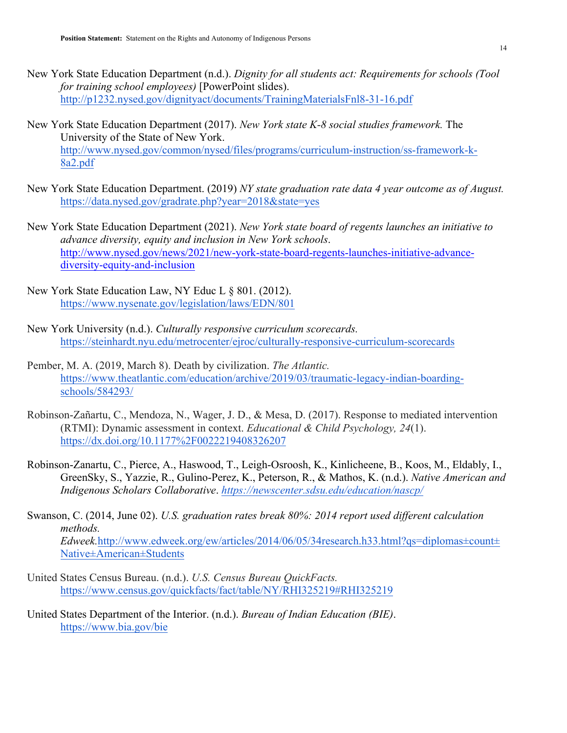- New York State Education Department (n.d.). *Dignity for all students act: Requirements for schools (Tool for training school employees)* [PowerPoint slides). http://p1232.nysed.gov/dignityact/documents/TrainingMaterialsFnl8-31-16.pdf
- New York State Education Department (2017). *New York state K-8 social studies framework.* The University of the State of New York. http://www.nysed.gov/common/nysed/files/programs/curriculum-instruction/ss-framework-k-8a2.pdf
- New York State Education Department. (2019) *NY state graduation rate data 4 year outcome as of August.*  https://data.nysed.gov/gradrate.php?year=2018&state=yes
- New York State Education Department (2021). *New York state board of regents launches an initiative to advance diversity, equity and inclusion in New York schools*. http://www.nysed.gov/news/2021/new-york-state-board-regents-launches-initiative-advancediversity-equity-and-inclusion
- New York State Education Law, NY Educ L § 801. (2012). https://www.nysenate.gov/legislation/laws/EDN/801
- New York University (n.d.). *Culturally responsive curriculum scorecards.*  https://steinhardt.nyu.edu/metrocenter/ejroc/culturally-responsive-curriculum-scorecards
- Pember, M. A. (2019, March 8). Death by civilization. *The Atlantic.*  https://www.theatlantic.com/education/archive/2019/03/traumatic-legacy-indian-boardingschools/584293/
- Robinson-Zañartu, C., Mendoza, N., Wager, J. D., & Mesa, D. (2017). Response to mediated intervention (RTMI): Dynamic assessment in context. *Educational & Child Psychology, 24*(1). https://dx.doi.org/10.1177%2F0022219408326207
- Robinson-Zanartu, C., Pierce, A., Haswood, T., Leigh-Osroosh, K., Kinlicheene, B., Koos, M., Eldably, I., GreenSky, S., Yazzie, R., Gulino-Perez, K., Peterson, R., & Mathos, K. (n.d.). *Native American and Indigenous Scholars Collaborative*. *https://newscenter.sdsu.edu/education/nascp/*
- Swanson, C. (2014, June 02). *U.S. graduation rates break 80%: 2014 report used different calculation methods. Edweek.*http://www.edweek.org/ew/articles/2014/06/05/34research.h33.html?qs=diplomas±count± Native±American±Students
- United States Census Bureau. (n.d.). *U.S. Census Bureau QuickFacts.* https://www.census.gov/quickfacts/fact/table/NY/RHI325219#RHI325219
- United States Department of the Interior. (n.d.). *Bureau of Indian Education (BIE)*. https://www.bia.gov/bie